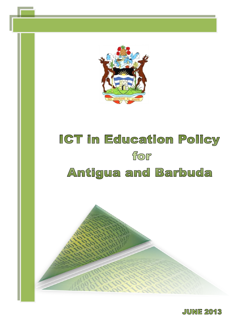

# ICT in Education Policy for Antigua and Barbuda



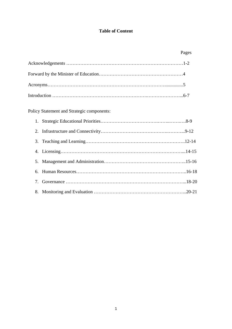### **Table of Content**

|    |                                                   | Pages |
|----|---------------------------------------------------|-------|
|    |                                                   |       |
|    |                                                   |       |
|    |                                                   |       |
|    |                                                   |       |
|    | <b>Policy Statement and Strategic components:</b> |       |
|    |                                                   |       |
|    |                                                   |       |
|    |                                                   |       |
|    |                                                   |       |
|    |                                                   |       |
| 6. |                                                   |       |
|    |                                                   |       |

8. Monitoring and Evaluation …………………………………………………...20-21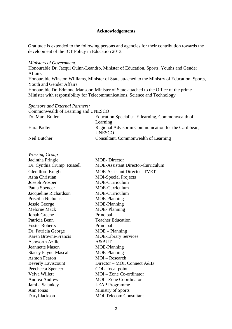#### **Acknowledgements**

Gratitude is extended to the following persons and agencies for their contribution towards the development of the ICT Policy in Education 2013.

#### *Ministers of Government:*

Honourable Dr. Jacqui Quinn-Leandro, Minister of Education, Sports, Youths and Gender Affairs Honourable Winston Williams, Minister of State attached to the Ministry of Education, Sports, Youth and Gender Affairs Honourable Dr. Edmond Mansoor, Minister of State attached to the Office of the prime Minister with responsibility for Telecommunications, Science and Technology

| Sponsors and External Partners:     |                                                      |
|-------------------------------------|------------------------------------------------------|
| Commonwealth of Learning and UNESCO |                                                      |
| Dr. Mark Bullen                     | Education Specialist- E-learning, Commonwealth of    |
|                                     | Learning                                             |
| Hara Padhy                          | Regional Advisor in Communication for the Caribbean, |
|                                     | <b>UNESCO</b>                                        |
| Neil Butcher                        | Consultant, Commonwealth of Learning                 |

| <b>Working Group</b>        |                                          |
|-----------------------------|------------------------------------------|
| Jacintha Pringle            | <b>MOE-Director</b>                      |
| Dr. Cynthia Crump_Russell   | <b>MOE-Assistant Director-Curriculum</b> |
| <b>Glendford Knight</b>     | <b>MOE-Assistant Director-TVET</b>       |
| Asha Christian              | <b>MOI-Special Projects</b>              |
| <b>Joseph Prosper</b>       | MOE-Curriculum                           |
| Paula Spencer               | MOE-Curriculum                           |
| Jacqueline Richardson       | MOE-Curriculum                           |
| Priscilla Nicholas          | MOE-Planning                             |
| Jessie George               | MOE-Planning                             |
| <b>Melorne Mack</b>         | <b>MOE-Planning</b>                      |
| <b>Jonah Greene</b>         | Principal                                |
| Patricia Benn               | <b>Teacher Education</b>                 |
| <b>Foster Roberts</b>       | Principal                                |
| Dr. Patricia George         | $MOE - Planning$                         |
| <b>Karen Browne-Francis</b> | <b>MOE-Library Services</b>              |
| <b>Ashworth Azille</b>      | A&BUT                                    |
| Jeannette Mason             | MOE-Planning                             |
| <b>Stacey Payne-Mascall</b> | MOE-Planning                             |
| <b>Ashton Fearon</b>        | $MOI - Research$                         |
| <b>Beverly Laviscount</b>   | Director – MOI, Connect A&B              |
| Peecheeta Spencer           | COL-focal point                          |
| Velva Willett               | MOI - Zone Co-ordinator                  |
| Andrea Andrew               | <b>MOI</b> - Zone Coordinator            |
| Jamila Salankey             | <b>LEAP Programme</b>                    |
| Ann Jonas                   | Ministry of Sports                       |
| Daryl Jackson               | <b>MOI-Telecom Consultant</b>            |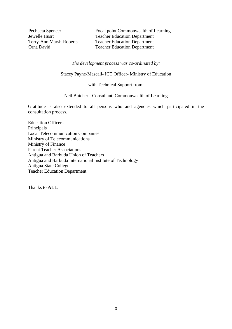Pecheeta Spencer Focal point Commonwealth of Learning Jewelle Husrt Teacher Education Department<br>
Terry-Ann Marsh-Roberts Teacher Education Department Terry-Ann Marsh-Roberts Teacher Education Department **Teacher Education Department** 

*The development process was co-ordinated by:*

Stacey Payne-Mascall- ICT Officer- Ministry of Education

with Technical Support from:

Neil Butcher - Consultant, Commonwealth of Learning

Gratitude is also extended to all persons who and agencies which participated in the consultation process.

Education Officers Principals Local Telecommunication Companies Ministry of Telecommunications Ministry of Finance Parent Teacher Associations Antigua and Barbuda Union of Teachers Antigua and Barbuda International Institute of Technology Antigua State College Teacher Education Department

Thanks to **ALL.**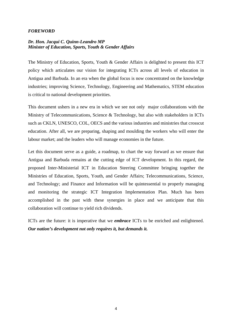#### *FOREWORD*

#### *Dr. Hon. Jacqui C. Quinn-Leandro MP Minister of Education, Sports, Youth & Gender Affairs*

The Ministry of Education, Sports, Youth & Gender Affairs is delighted to present this ICT policy which articulates our vision for integrating ICTs across all levels of education in Antigua and Barbuda. In an era when the global focus is now concentrated on the knowledge industries; improving Science, Technology, Engineering and Mathematics, STEM education is critical to national development priorities.

This document ushers in a new era in which we see not only major collaborations with the Ministry of Telecommunications, Science & Technology, but also with stakeholders in ICTs such as CKLN, UNESCO, COL, OECS and the various industries and ministries that crosscut education. After all, we are preparing, shaping and moulding the workers who will enter the labour market; and the leaders who will manage economies in the future.

Let this document serve as a guide, a roadmap, to chart the way forward as we ensure that Antigua and Barbuda remains at the cutting edge of ICT development. In this regard, the proposed Inter-Ministerial ICT in Education Steering Committee bringing together the Ministries of Education, Sports, Youth, and Gender Affairs; Telecommunications, Science, and Technology; and Finance and Information will be quintessential to properly managing and monitoring the strategic ICT Integration Implementation Plan. Much has been accomplished in the past with these synergies in place and we anticipate that this collaboration will continue to yield rich dividends.

ICTs are the future: it is imperative that we *embrace* ICTs to be enriched and enlightened. *Our nation's development not only requires it, but demands it.*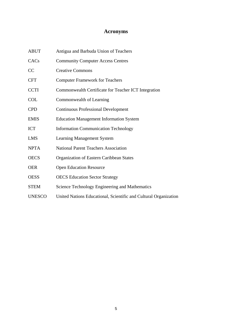## **Acronyms**

| <b>ABUT</b>   | Antigua and Barbuda Union of Teachers                            |
|---------------|------------------------------------------------------------------|
| CACs          | <b>Community Computer Access Centres</b>                         |
| CC            | <b>Creative Commons</b>                                          |
| <b>CFT</b>    | <b>Computer Framework for Teachers</b>                           |
| <b>CCTI</b>   | Commonwealth Certificate for Teacher ICT Integration             |
| <b>COL</b>    | Commonwealth of Learning                                         |
| <b>CPD</b>    | <b>Continuous Professional Development</b>                       |
| <b>EMIS</b>   | <b>Education Management Information System</b>                   |
| ICT           | <b>Information Communication Technology</b>                      |
| <b>LMS</b>    | <b>Learning Management System</b>                                |
| <b>NPTA</b>   | <b>National Parent Teachers Association</b>                      |
| <b>OECS</b>   | Organization of Eastern Caribbean States                         |
| <b>OER</b>    | <b>Open Education Resource</b>                                   |
| <b>OESS</b>   | <b>OECS</b> Education Sector Strategy                            |
| <b>STEM</b>   | Science Technology Engineering and Mathematics                   |
| <b>UNESCO</b> | United Nations Educational, Scientific and Cultural Organization |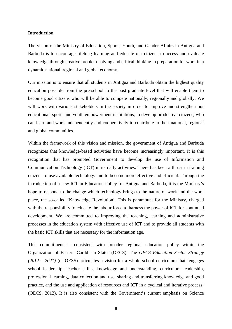#### **Introduction**

The vision of the Ministry of Education, Sports, Youth, and Gender Affairs in Antigua and Barbuda is to encourage lifelong learning and educate our citizens to access and evaluate knowledge through creative problem-solving and critical thinking in preparation for work in a dynamic national, regional and global economy.

Our mission is to ensure that all students in Antigua and Barbuda obtain the highest quality education possible from the pre-school to the post graduate level that will enable them to become good citizens who will be able to compete nationally, regionally and globally. We will work with various stakeholders in the society in order to improve and strengthen our educational, sports and youth empowerment institutions, to develop productive citizens, who can learn and work independently and cooperatively to contribute to their national, regional and global communities.

Within the framework of this vision and mission, the government of Antigua and Barbuda recognizes that knowledge-based activities have become increasingly important. It is this recognition that has prompted Government to develop the use of Information and Communication Technology (ICT) in its daily activities. There has been a thrust in training citizens to use available technology and to become more effective and efficient. Through the introduction of a new ICT in Education Policy for Antigua and Barbuda, it is the Ministry's hope to respond to the change which technology brings to the nature of work and the work place, the so-called 'Knowledge Revolution'. This is paramount for the Ministry, charged with the responsibility to educate the labour force to harness the power of ICT for continued development. We are committed to improving the teaching, learning and administrative processes in the education system with effective use of ICT and to provide all students with the basic ICT skills that are necessary for the information age.

This commitment is consistent with broader regional education policy within the Organization of Eastern Caribbean States (OECS). The *OECS Education Sector Strategy (2012 – 2021)* (or OESS) articulates a vision for a whole school curriculum that **'**engages school leadership, teacher skills, knowledge and understanding, curriculum leadership, professional learning, data collection and use, sharing and transferring knowledge and good practice, and the use and application of resources and ICT in a cyclical and iterative process' (OECS, 2012). It is also consistent with the Government's current emphasis on Science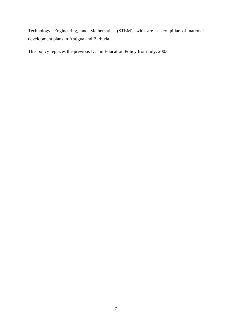Technology, Engineering, and Mathematics (STEM), with are a key pillar of national development plans in Antigua and Barbuda.

This policy replaces the previous ICT in Education Policy from July, 2003.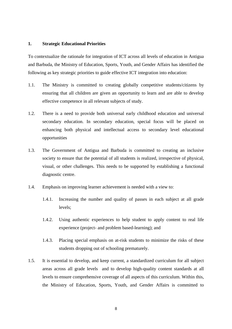#### **1. Strategic Educational Priorities**

To contextualize the rationale for integration of ICT across all levels of education in Antigua and Barbuda, the Ministry of Education, Sports, Youth, and Gender Affairs has identified the following as key strategic priorities to guide effective ICT integration into education:

- 1.1. The Ministry is committed to creating globally competitive students/citizens by ensuring that all children are given an opportunity to learn and are able to develop effective competence in all relevant subjects of study.
- 1.2. There is a need to provide both universal early childhood education and universal secondary education. In secondary education, special focus will be placed on enhancing both physical and intellectual access to secondary level educational opportunities
- 1.3. The Government of Antigua and Barbuda is committed to creating an inclusive society to ensure that the potential of all students is realized, irrespective of physical, visual, or other challenges. This needs to be supported by establishing a functional diagnostic centre.
- 1.4. Emphasis on improving learner achievement is needed with a view to:
	- 1.4.1. Increasing the number and quality of passes in each subject at all grade levels;
	- 1.4.2. Using authentic experiences to help student to apply content to real life experience (project- and problem based-learning); and
	- 1.4.3. Placing special emphasis on at-risk students to minimize the risks of these students dropping out of schooling prematurely.
- 1.5. It is essential to develop, and keep current, a standardized curriculum for all subject areas across all grade levels and to develop high-quality content standards at all levels to ensure comprehensive coverage of all aspects of this curriculum. Within this, the Ministry of Education, Sports, Youth, and Gender Affairs is committed to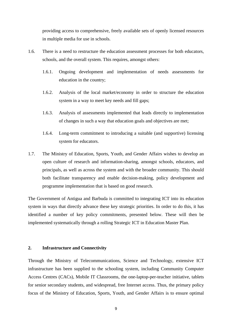providing access to comprehensive, freely available sets of openly licensed resources in multiple media for use in schools.

- 1.6. There is a need to restructure the education assessment processes for both educators, schools, and the overall system. This requires, amongst others:
	- 1.6.1. Ongoing development and implementation of needs assessments for education in the country;
	- 1.6.2. Analysis of the local market/economy in order to structure the education system in a way to meet key needs and fill gaps;
	- 1.6.3. Analysis of assessments implemented that leads directly to implementation of changes in such a way that education goals and objectives are met;
	- 1.6.4. Long-term commitment to introducing a suitable (and supportive) licensing system for educators.
- 1.7. The Ministry of Education, Sports, Youth, and Gender Affairs wishes to develop an open culture of research and information-sharing, amongst schools, educators, and principals, as well as across the system and with the broader community. This should both facilitate transparency and enable decision-making, policy development and programme implementation that is based on good research.

The Government of Antigua and Barbuda is committed to integrating ICT into its education system in ways that directly advance these key strategic priorities. In order to do this, it has identified a number of key policy commitments, presented below. These will then be implemented systematically through a rolling Strategic ICT in Education Master Plan.

#### **2. Infrastructure and Connectivity**

Through the Ministry of Telecommunications, Science and Technology, extensive ICT infrastructure has been supplied to the schooling system, including Community Computer Access Centres (CACs), Mobile IT Classrooms, the one-laptop-per-teacher initiative, tablets for senior secondary students, and widespread, free Internet access. Thus, the primary policy focus of the Ministry of Education, Sports, Youth, and Gender Affairs is to ensure optimal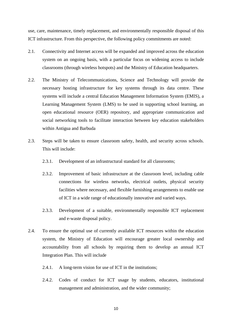use, care, maintenance, timely replacement, and environmentally responsible disposal of this ICT infrastructure. From this perspective, the following policy commitments are noted:

- 2.1. Connectivity and Internet access will be expanded and improved across the education system on an ongoing basis, with a particular focus on widening access to include classrooms (through wireless hotspots) and the Ministry of Education headquarters.
- 2.2. The Ministry of Telecommunications, Science and Technology will provide the necessary hosting infrastructure for key systems through its data centre. These systems will include a central Education Management Information System (EMIS), a Learning Management System (LMS) to be used in supporting school learning, an open educational resource (OER) repository, and appropriate communication and social networking tools to facilitate interaction between key education stakeholders within Antigua and Barbuda
- 2.3. Steps will be taken to ensure classroom safety, health, and security across schools. This will include:
	- 2.3.1. Development of an infrastructural standard for all classrooms;
	- 2.3.2. Improvement of basic infrastructure at the classroom level, including cable connections for wireless networks, electrical outlets, physical security facilities where necessary, and flexible furnishing arrangements to enable use of ICT in a wide range of educationally innovative and varied ways.
	- 2.3.3. Development of a suitable, environmentally responsible ICT replacement and e-waste disposal policy.
- 2.4. To ensure the optimal use of currently available ICT resources within the education system, the Ministry of Education will encourage greater local ownership and accountability from all schools by requiring them to develop an annual ICT Integration Plan. This will include
	- 2.4.1. A long-term vision for use of ICT in the institutions:
	- 2.4.2. Codes of conduct for ICT usage by students, educators, institutional management and administration, and the wider community;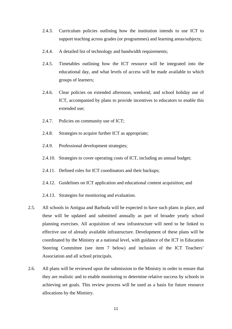- 2.4.3. Curriculum policies outlining how the institution intends to use ICT to support teaching across grades (or programmes) and learning areas/subjects;
- 2.4.4. A detailed list of technology and bandwidth requirements;
- 2.4.5. Timetables outlining how the ICT resource will be integrated into the educational day, and what levels of access will be made available to which groups of learners;
- 2.4.6. Clear policies on extended afternoon, weekend, and school holiday use of ICT, accompanied by plans to provide incentives to educators to enable this extended use;
- 2.4.7. Policies on community use of ICT;
- 2.4.8. Strategies to acquire further ICT as appropriate;
- 2.4.9. Professional development strategies;
- 2.4.10. Strategies to cover operating costs of ICT, including an annual budget;
- 2.4.11. Defined roles for ICT coordinators and their backups;
- 2.4.12. Guidelines on ICT application and educational content acquisition; and
- 2.4.13. Strategies for monitoring and evaluation.
- 2.5. All schools in Antigua and Barbuda will be expected to have such plans in place, and these will be updated and submitted annually as part of broader yearly school planning exercises. All acquisition of new infrastructure will need to be linked to effective use of already available infrastructure. Development of these plans will be coordinated by the Ministry at a national level, with guidance of the ICT in Education Steering Committee (see item 7 below) and inclusion of the ICT Teachers' Association and all school principals.
- 2.6. All plans will be reviewed upon the submission to the Ministry in order to ensure that they are realistic and to enable monitoring to determine relative success by schools in achieving set goals. This review process will be used as a basis for future resource allocations by the Ministry.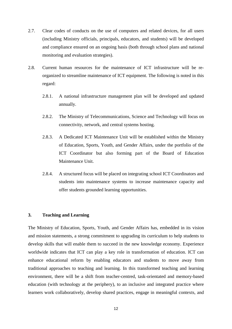- 2.7. Clear codes of conducts on the use of computers and related devices, for all users (including Ministry officials, principals, educators, and students) will be developed and compliance ensured on an ongoing basis (both through school plans and national monitoring and evaluation strategies).
- 2.8. Current human resources for the maintenance of ICT infrastructure will be reorganized to streamline maintenance of ICT equipment. The following is noted in this regard:
	- 2.8.1. A national infrastructure management plan will be developed and updated annually.
	- 2.8.2. The Ministry of Telecommunications, Science and Technology will focus on connectivity, network, and central systems hosting.
	- 2.8.3. A Dedicated ICT Maintenance Unit will be established within the Ministry of Education, Sports, Youth, and Gender Affairs, under the portfolio of the ICT Coordinator but also forming part of the Board of Education Maintenance Unit.
	- 2.8.4. A structured focus will be placed on integrating school ICT Coordinators and students into maintenance systems to increase maintenance capacity and offer students grounded learning opportunities.

#### **3. Teaching and Learning**

The Ministry of Education, Sports, Youth, and Gender Affairs has, embedded in its vision and mission statements, a strong commitment to upgrading its curriculum to help students to develop skills that will enable them to succeed in the new knowledge economy. Experience worldwide indicates that ICT can play a key role in transformation of education. ICT can enhance educational reform by enabling educators and students to move away from traditional approaches to teaching and learning. In this transformed teaching and learning environment, there will be a shift from teacher-centred, task-orientated and memory-based education (with technology at the periphery), to an inclusive and integrated practice where learners work collaboratively, develop shared practices, engage in meaningful contexts, and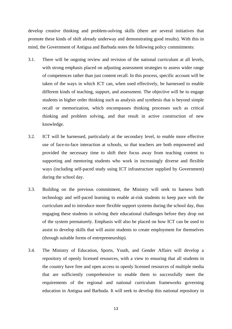develop creative thinking and problem-solving skills (there are several initiatives that promote these kinds of shift already underway and demonstrating good results). With this in mind, the Government of Antigua and Barbuda notes the following policy commitments:

- 3.1. There will be ongoing review and revision of the national curriculum at all levels, with strong emphasis placed on adjusting assessment strategies to assess wider range of competences rather than just content recall. In this process, specific account will be taken of the ways in which ICT can, when used effectively, be harnessed to enable different kinds of teaching, support, and assessment. The objective will be to engage students in higher order thinking such as analysis and synthesis that is beyond simple recall or memorization, which encompasses thinking processes such as critical thinking and problem solving, and that result in active construction of new knowledge.
- 3.2. ICT will be harnessed, particularly at the secondary level, to enable more effective use of face-to-face interaction at schools, so that teachers are both empowered and provided the necessary time to shift their focus away from teaching content to supporting and mentoring students who work in increasingly diverse and flexible ways (including self-paced study using ICT infrastructure supplied by Government) during the school day.
- 3.3. Building on the previous commitment, the Ministry will seek to harness both technology and self-paced learning to enable at-risk students to keep pace with the curriculum and to introduce more flexible support systems during the school day, thus engaging these students in solving their educational challenges before they drop out of the system prematurely. Emphasis will also be placed on how ICT can be used to assist to develop skills that will assist students to create employment for themselves (through suitable forms of entrepreneurship).
- 3.4. The Ministry of Education, Sports, Youth, and Gender Affairs will develop a repository of openly licensed resources, with a view to ensuring that all students in the country have free and open access to openly licensed resources of multiple media that are sufficiently comprehensive to enable them to successfully meet the requirements of the regional and national curriculum frameworks governing education in Antigua and Barbuda. It will seek to develop this national repository in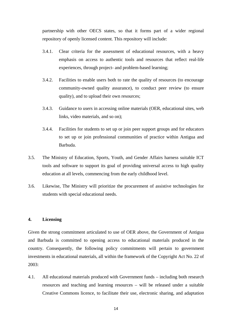partnership with other OECS states, so that it forms part of a wider regional repository of openly licensed content. This repository will include:

- 3.4.1. Clear criteria for the assessment of educational resources, with a heavy emphasis on access to authentic tools and resources that reflect real-life experiences, through project- and problem-based learning;
- 3.4.2. Facilities to enable users both to rate the quality of resources (to encourage community-owned quality assurance), to conduct peer review (to ensure quality), and to upload their own resources;
- 3.4.3. Guidance to users in accessing online materials (OER, educational sites, web links, video materials, and so on);
- 3.4.4. Facilities for students to set up or join peer support groups and for educators to set up or join professional communities of practice within Antigua and Barbuda.
- 3.5. The Ministry of Education, Sports, Youth, and Gender Affairs harness suitable ICT tools and software to support its goal of providing universal access to high quality education at all levels, commencing from the early childhood level.
- 3.6. Likewise, The Ministry will prioritize the procurement of assistive technologies for students with special educational needs.

#### **4. Licensing**

Given the strong commitment articulated to use of OER above, the Government of Antigua and Barbuda is committed to opening access to educational materials produced in the country. Consequently, the following policy commitments will pertain to government investments in educational materials, all within the framework of the Copyright Act No. 22 of 2003:

4.1. All educational materials produced with Government funds – including both research resources and teaching and learning resources – will be released under a suitable Creative Commons licence, to facilitate their use, electronic sharing, and adaptation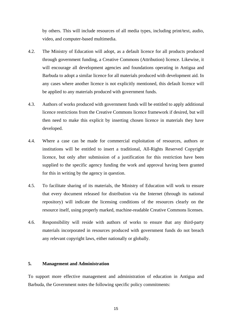by others. This will include resources of all media types, including print/text, audio, video, and computer-based multimedia.

- 4.2. The Ministry of Education will adopt, as a default licence for all products produced through government funding, a Creative Commons (Attribution) licence. Likewise, it will encourage all development agencies and foundations operating in Antigua and Barbuda to adopt a similar licence for all materials produced with development aid. In any cases where another licence is not explicitly mentioned, this default licence will be applied to any materials produced with government funds.
- 4.3. Authors of works produced with government funds will be entitled to apply additional licence restrictions from the Creative Commons licence framework if desired, but will then need to make this explicit by inserting chosen licence in materials they have developed.
- 4.4. Where a case can be made for commercial exploitation of resources, authors or institutions will be entitled to insert a traditional, All-Rights Reserved Copyright licence, but only after submission of a justification for this restriction have been supplied to the specific agency funding the work and approval having been granted for this in writing by the agency in question.
- 4.5. To facilitate sharing of its materials, the Ministry of Education will work to ensure that every document released for distribution via the Internet (through its national repository) will indicate the licensing conditions of the resources clearly on the resource itself, using properly marked, machine-readable Creative Commons licenses.
- 4.6. Responsibility will reside with authors of works to ensure that any third-party materials incorporated in resources produced with government funds do not breach any relevant copyright laws, either nationally or globally.

#### **5. Management and Administration**

To support more effective management and administration of education in Antigua and Barbuda, the Government notes the following specific policy commitments: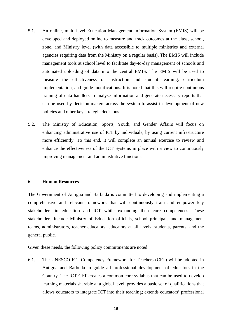- 5.1. An online, multi-level Education Management Information System (EMIS) will be developed and deployed online to measure and track outcomes at the class, school, zone, and Ministry level (with data accessible to multiple ministries and external agencies requiring data from the Ministry on a regular basis). The EMIS will include management tools at school level to facilitate day-to-day management of schools and automated uploading of data into the central EMIS. The EMIS will be used to measure the effectiveness of instruction and student learning, curriculum implementation, and guide modifications. It is noted that this will require continuous training of data handlers to analyse information and generate necessary reports that can be used by decision-makers across the system to assist in development of new policies and other key strategic decisions.
- 5.2. The Ministry of Education, Sports, Youth, and Gender Affairs will focus on enhancing administrative use of ICT by individuals, by using current infrastructure more efficiently. To this end, it will complete an annual exercise to review and enhance the effectiveness of the ICT Systems in place with a view to continuously improving management and administrative functions.

#### **6. Human Resources**

The Government of Antigua and Barbuda is committed to developing and implementing a comprehensive and relevant framework that will continuously train and empower key stakeholders in education and ICT while expanding their core competences. These stakeholders include Ministry of Education officials, school principals and management teams, administrators, teacher educators, educators at all levels, students, parents, and the general public.

Given these needs, the following policy commitments are noted:

6.1. The UNESCO ICT Competency Framework for Teachers (CFT) will be adopted in Antigua and Barbuda to guide all professional development of educators in the Country. The ICT CFT creates a common core syllabus that can be used to develop learning materials sharable at a global level, provides a basic set of qualifications that allows educators to integrate ICT into their teaching; extends educators' professional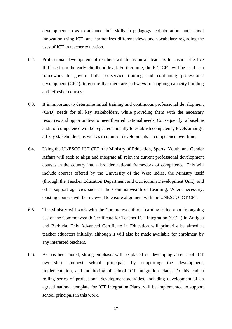development so as to advance their skills in pedagogy, collaboration, and school innovation using ICT, and harmonizes different views and vocabulary regarding the uses of ICT in teacher education.

- 6.2. Professional development of teachers will focus on all teachers to ensure effective ICT use from the early childhood level. Furthermore, the ICT CFT will be used as a framework to govern both pre-service training and continuing professional development (CPD), to ensure that there are pathways for ongoing capacity building and refresher courses.
- 6.3. It is important to determine initial training and continuous professional development (CPD) needs for all key stakeholders, while providing them with the necessary resources and opportunities to meet their educational needs. Consequently, a baseline audit of competence will be repeated annually to establish competency levels amongst all key stakeholders, as well as to monitor developments in competence over time.
- 6.4. Using the UNESCO ICT CFT, the Ministry of Education, Sports, Youth, and Gender Affairs will seek to align and integrate all relevant current professional development courses in the country into a broader national framework of competence. This will include courses offered by the University of the West Indies, the Ministry itself (through the Teacher Education Department and Curriculum Development Unit), and other support agencies such as the Commonwealth of Learning. Where necessary, existing courses will be reviewed to ensure alignment with the UNESCO ICT CFT.
- 6.5. The Ministry will work with the Commonwealth of Learning to incorporate ongoing use of the Commonwealth Certificate for Teacher ICT Integration (CCTI) in Antigua and Barbuda. This Advanced Certificate in Education will primarily be aimed at teacher educators initially, although it will also be made available for enrolment by any interested teachers.
- 6.6. As has been noted, strong emphasis will be placed on developing a sense of ICT ownership amongst school principals by supporting the development, implementation, and monitoring of school ICT Integration Plans. To this end, a rolling series of professional development activities, including development of an agreed national template for ICT Integration Plans, will be implemented to support school principals in this work.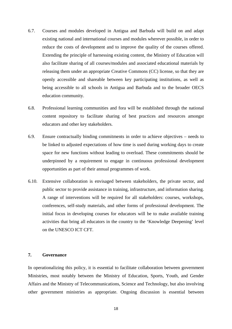- 6.7. Courses and modules developed in Antigua and Barbuda will build on and adapt existing national and international courses and modules wherever possible, in order to reduce the costs of development and to improve the quality of the courses offered. Extending the principle of harnessing existing content, the Ministry of Education will also facilitate sharing of all courses/modules and associated educational materials by releasing them under an appropriate Creative Commons (CC) license, so that they are openly accessible and shareable between key participating institutions, as well as being accessible to all schools in Antigua and Barbuda and to the broader OECS education community.
- 6.8. Professional learning communities and fora will be established through the national content repository to facilitate sharing of best practices and resources amongst educators and other key stakeholders.
- 6.9. Ensure contractually binding commitments in order to achieve objectives needs to be linked to adjusted expectations of how time is used during working days to create space for new functions without leading to overload. These commitments should be underpinned by a requirement to engage in continuous professional development opportunities as part of their annual programmes of work.
- 6.10. Extensive collaboration is envisaged between stakeholders, the private sector, and public sector to provide assistance in training, infrastructure, and information sharing. A range of interventions will be required for all stakeholders: courses, workshops, conferences, self-study materials, and other forms of professional development. The initial focus in developing courses for educators will be to make available training activities that bring all educators in the country to the 'Knowledge Deepening' level on the UNESCO ICT CFT.

#### **7. Governance**

In operationalizing this policy, it is essential to facilitate collaboration between government Ministries, most notably between the Ministry of Education, Sports, Youth, and Gender Affairs and the Ministry of Telecommunications, Science and Technology, but also involving other government ministries as appropriate. Ongoing discussion is essential between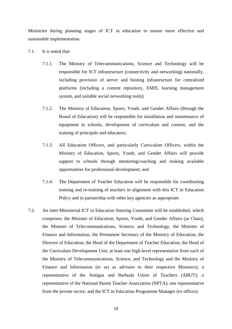Ministries during planning stages of ICT in education to ensure more effective and sustainable implementation.

- 7.1. It is noted that:
	- 7.1.1. The Ministry of Telecommunications, Science and Technology will be responsible for ICT infrastructure (connectivity and networking) nationally, including provision of server and hosting infrastructure for centralized platforms (including a content repository, EMIS, learning management system, and suitable social networking tools);
	- 7.1.2. The Ministry of Education, Sports, Youth, and Gender Affairs (through the Board of Education) will be responsible for installation and maintenance of equipment in schools, development of curriculum and content, and the training of principals and educators;
	- 7.1.3. All Education Officers, and particularly Curriculum Officers, within the Ministry of Education, Sports, Youth, and Gender Affairs will provide support to schools through mentoring/coaching and making available opportunities for professional development; and
	- 7.1.4. The Department of Teacher Education will be responsible for coordinating training and re-training of teachers in alignment with this ICT in Education Policy and in partnership with other key agencies as appropriate.
- 7.2. An inter-Ministerial ICT in Education Steering Committee will be established, which comprises: the Minister of Education, Sports, Youth, and Gender Affairs (as Chair), the Minister of Telecommunications, Science, and Technology, the Minister of Finance and Information, the Permanent Secretary of the Ministry of Education; the Director of Education; the Head of the Department of Teacher Education; the Head of the Curriculum Development Unit; at least one high-level representative from each of the Ministry of Telecommunications, Science, and Technology and the Ministry of Finance and Information (to act as advisors to their respective Ministers); a representative of the Antigua and Barbuda Union of Teachers (ABUT); a representative of the National Parent Teacher Association (NPTA); one representative from the private sector; and the ICT in Education Programme Manager (ex officio).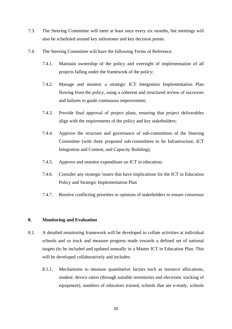- 7.3. The Steering Committee will meet at least once every six months, but meetings will also be scheduled around key milestones and key decision points.
- 7.4. The Steering Committee will have the following Terms of Reference:
	- 7.4.1. Maintain ownership of the policy and oversight of implementation of all projects falling under the framework of the policy;
	- 7.4.2. Manage and monitor a strategic ICT Integration Implementation Plan flowing from the policy, using a coherent and structured review of successes and failures to guide continuous improvement;
	- 7.4.3. Provide final approval of project plans, ensuring that project deliverables align with the requirements of the policy and key stakeholders;
	- 7.4.4. Approve the structure and governance of sub-committees of the Steering Committee (with three proposed sub-committees to be Infrastructure, ICT Integration and Content, and Capacity Building);
	- 7.4.5. Approve and monitor expenditure on ICT in education;
	- 7.4.6. Consider any strategic issues that have implications for the ICT in Education Policy and Strategic Implementation Plan
	- 7.4.7. Resolve conflicting priorities or opinions of stakeholders to ensure consensus

#### **8. Monitoring and Evaluation**

- 8.1. A detailed monitoring framework will be developed to collate activities at individual schools and so track and measure progress made towards a defined set of national targets (to be included and updated annually in a Master ICT in Education Plan. This will be developed collaboratively and includes:
	- 8.1.1. Mechanisms to measure quantitative factors such as resource allocations, student: device ratios (through suitable inventories and electronic tracking of equipment), numbers of educators trained, schools that are e-ready, schools